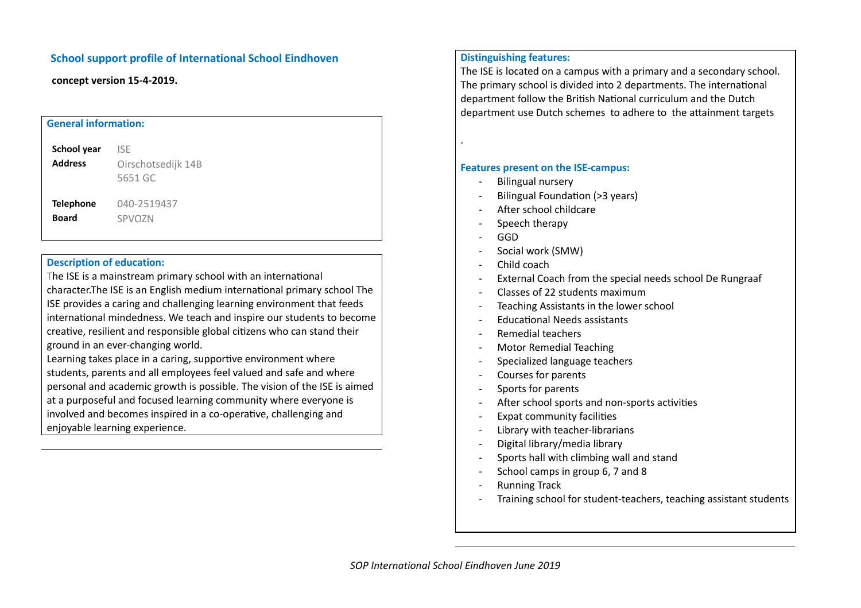## **School support profile of International School Eindhoven**

**concept version 15-4-2019.**

| <b>General information:</b> |                    |
|-----------------------------|--------------------|
| School year                 | <b>ISE</b>         |
| <b>Address</b>              | Oirschotsedijk 14B |
|                             | 5651 GC            |
| <b>Telephone</b>            | 040-2519437        |
| <b>Board</b>                | SPVOZN             |
|                             |                    |
|                             |                    |

## **Description of education:**

The ISE is a mainstream primary school with an international character. The ISE is an English medium international primary school The ISE provides a caring and challenging learning environment that feeds international mindedness. We teach and inspire our students to become creative, resilient and responsible global citizens who can stand their ground in an ever-changing world.

Learning takes place in a caring, supportive environment where students, parents and all employees feel valued and safe and where personal and academic growth is possible. The vision of the ISE is aimed at a purposeful and focused learning community where everyone is involved and becomes inspired in a co-operative, challenging and enjoyable learning experience.

## **Distinguishing features:**

The ISE is located on a campus with a primary and a secondary school. The primary school is divided into 2 departments. The international department follow the British National curriculum and the Dutch department use Dutch schemes to adhere to the attainment targets

**Features present on the ISE-campus:**

- Bilingual nursery
- Bilingual Foundation (>3 years)
- $-$  After school childcare
- Speech therapy
- GGD

.

- Social work (SMW)
- Child coach
- External Coach from the special needs school De Rungraaf
- Classes of 22 students maximum
- Teaching Assistants in the lower school
- Educational Needs assistants
- Remedial teachers
- Motor Remedial Teaching
- Specialized language teachers
- Courses for parents
- Sports for parents
- After school sports and non-sports activities
- Expat community facilities
- Library with teacher-librarians
- Digital library/media library
- Sports hall with climbing wall and stand
- School camps in group 6, 7 and 8
- Running Track
- Training school for student-teachers, teaching assistant students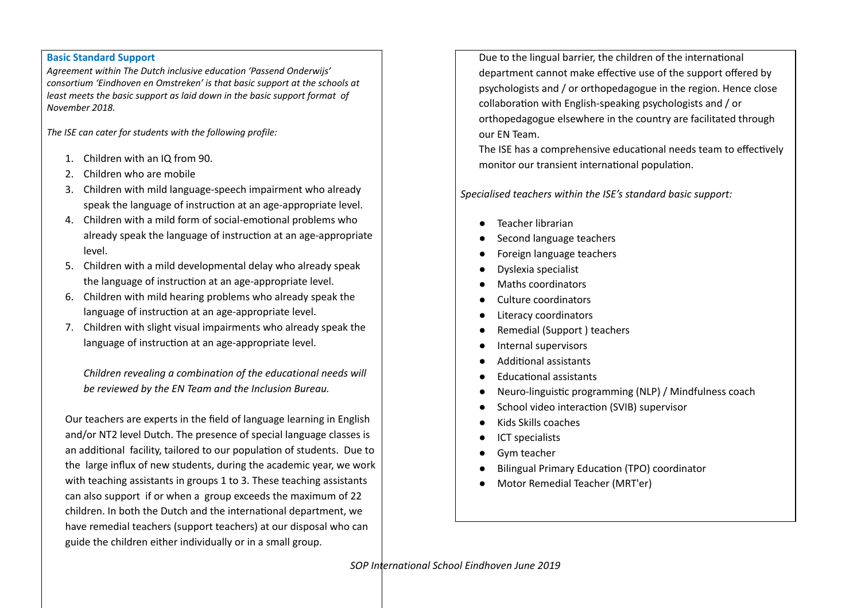## **Basic Standard Support**

*Agreement within The Dutch inclusive education 'Passend Onderwijs' consortium 'Eindhoven en Omstreken' is that basic support at the schools at least meets the basic support as laid down in the basic support format of November 2018.*

*The ISE can cater for students with the following profile:*

- 1. Children with an IQ from 90.
- 2. Children who are mobile
- 3. Children with mild language-speech impairment who already speak the language of instruction at an age-appropriate level.
- 4. Children with a mild form of social-emotional problems who already speak the language of instruction at an age-appropriate level.
- 5. Children with a mild developmental delay who already speak the language of instruction at an age-appropriate level.
- 6. Children with mild hearing problems who already speak the language of instruction at an age-appropriate level.
- 7. Children with slight visual impairments who already speak the language of instruction at an age-appropriate level.

*Children revealing a combination of the educational needs will be reviewed by the EN Team and the Inclusion Bureau.*

Our teachers are experts in the field of language learning in English and/or NT2 level Dutch. The presence of special language classes is an additional facility, tailored to our population of students. Due to the large influx of new students, during the academic year, we work with teaching assistants in groups 1 to 3. These teaching assistants can also support if or when a group exceeds the maximum of 22 children. In both the Dutch and the international department, we have remedial teachers (support teachers) at our disposal who can guide the children either individually or in a small group.

Due to the lingual barrier, the children of the international department cannot make effective use of the support offered by psychologists and / or orthopedagogue in the region. Hence close collaboration with English-speaking psychologists and / or orthopedagogue elsewhere in the country are facilitated through our EN Team.

The ISE has a comprehensive educational needs team to effectively monitor our transient international population.

*Specialised teachers within the ISE's standard basic support:*

- Teacher librarian
- Second language teachers
- Foreign language teachers
- Dyslexia specialist
- Maths coordinators
- Culture coordinators
- Literacy coordinators
- Remedial (Support ) teachers
- Internal supervisors
- Additional assistants
- **Educational assistants**
- Neuro-linguistic programming (NLP) / Mindfulness coach
- School video interaction (SVIB) supervisor
- Kids Skills coaches
- ICT specialists
- Gym teacher
- Bilingual Primary Education (TPO) coordinator
- Motor Remedial Teacher (MRT'er)